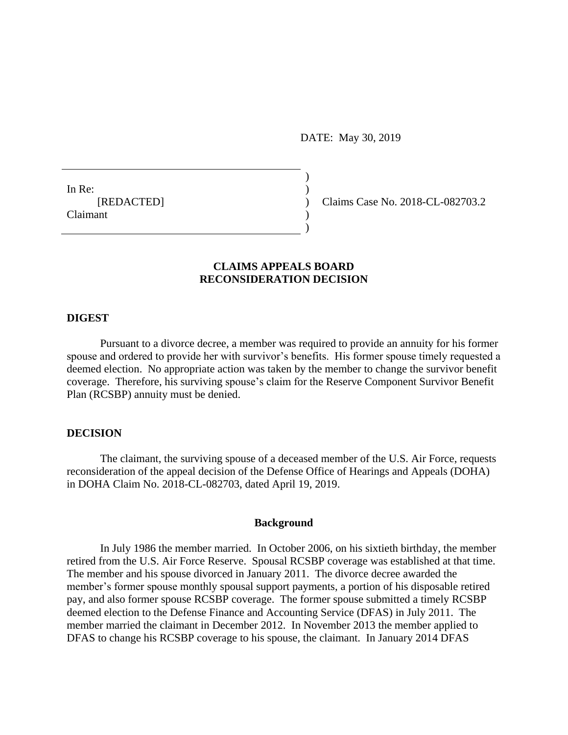DATE: May 30, 2019

In Re: [REDACTED] Claimant

Claims Case No. 2018-CL-082703.2

# **CLAIMS APPEALS BOARD RECONSIDERATION DECISION**

) )  $\lambda$ ) )

# **DIGEST**

Pursuant to a divorce decree, a member was required to provide an annuity for his former spouse and ordered to provide her with survivor's benefits. His former spouse timely requested a deemed election. No appropriate action was taken by the member to change the survivor benefit coverage. Therefore, his surviving spouse's claim for the Reserve Component Survivor Benefit Plan (RCSBP) annuity must be denied.

### **DECISION**

The claimant, the surviving spouse of a deceased member of the U.S. Air Force, requests reconsideration of the appeal decision of the Defense Office of Hearings and Appeals (DOHA) in DOHA Claim No. 2018-CL-082703, dated April 19, 2019.

### **Background**

In July 1986 the member married. In October 2006, on his sixtieth birthday, the member retired from the U.S. Air Force Reserve. Spousal RCSBP coverage was established at that time. The member and his spouse divorced in January 2011. The divorce decree awarded the member's former spouse monthly spousal support payments, a portion of his disposable retired pay, and also former spouse RCSBP coverage. The former spouse submitted a timely RCSBP deemed election to the Defense Finance and Accounting Service (DFAS) in July 2011. The member married the claimant in December 2012. In November 2013 the member applied to DFAS to change his RCSBP coverage to his spouse, the claimant. In January 2014 DFAS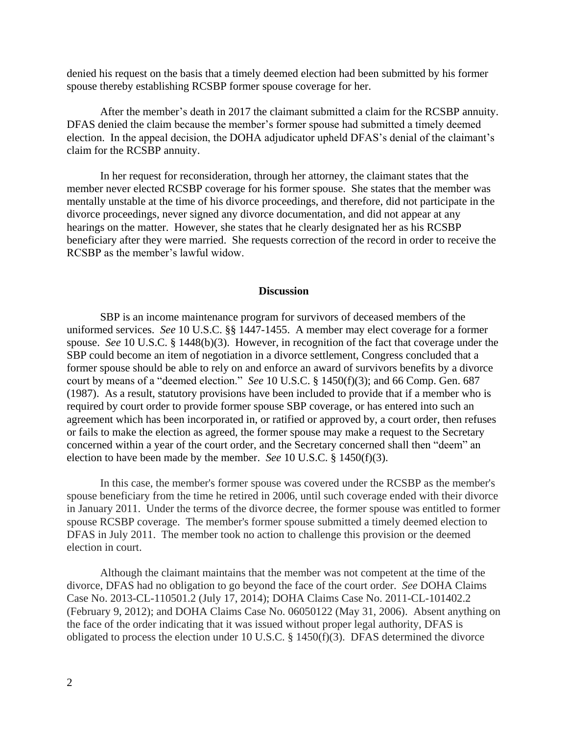denied his request on the basis that a timely deemed election had been submitted by his former spouse thereby establishing RCSBP former spouse coverage for her.

After the member's death in 2017 the claimant submitted a claim for the RCSBP annuity. DFAS denied the claim because the member's former spouse had submitted a timely deemed election. In the appeal decision, the DOHA adjudicator upheld DFAS's denial of the claimant's claim for the RCSBP annuity.

In her request for reconsideration, through her attorney, the claimant states that the member never elected RCSBP coverage for his former spouse. She states that the member was mentally unstable at the time of his divorce proceedings, and therefore, did not participate in the divorce proceedings, never signed any divorce documentation, and did not appear at any hearings on the matter. However, she states that he clearly designated her as his RCSBP beneficiary after they were married. She requests correction of the record in order to receive the RCSBP as the member's lawful widow.

#### **Discussion**

SBP is an income maintenance program for survivors of deceased members of the uniformed services. *See* 10 U.S.C. §§ 1447-1455. A member may elect coverage for a former spouse. *See* 10 U.S.C. § 1448(b)(3). However, in recognition of the fact that coverage under the SBP could become an item of negotiation in a divorce settlement, Congress concluded that a former spouse should be able to rely on and enforce an award of survivors benefits by a divorce court by means of a "deemed election." *See* 10 U.S.C. § 1450(f)(3); and 66 Comp. Gen. 687 (1987). As a result, statutory provisions have been included to provide that if a member who is required by court order to provide former spouse SBP coverage, or has entered into such an agreement which has been incorporated in, or ratified or approved by, a court order, then refuses or fails to make the election as agreed, the former spouse may make a request to the Secretary concerned within a year of the court order, and the Secretary concerned shall then "deem" an election to have been made by the member. *See* 10 U.S.C. § 1450(f)(3).

In this case, the member's former spouse was covered under the RCSBP as the member's spouse beneficiary from the time he retired in 2006, until such coverage ended with their divorce in January 2011. Under the terms of the divorce decree, the former spouse was entitled to former spouse RCSBP coverage. The member's former spouse submitted a timely deemed election to DFAS in July 2011. The member took no action to challenge this provision or the deemed election in court.

Although the claimant maintains that the member was not competent at the time of the divorce, DFAS had no obligation to go beyond the face of the court order. *See* DOHA Claims Case No. 2013-CL-110501.2 (July 17, 2014); DOHA Claims Case No. 2011-CL-101402.2 (February 9, 2012); and DOHA Claims Case No. 06050122 (May 31, 2006). Absent anything on the face of the order indicating that it was issued without proper legal authority, DFAS is obligated to process the election under 10 U.S.C. § 1450(f)(3). DFAS determined the divorce